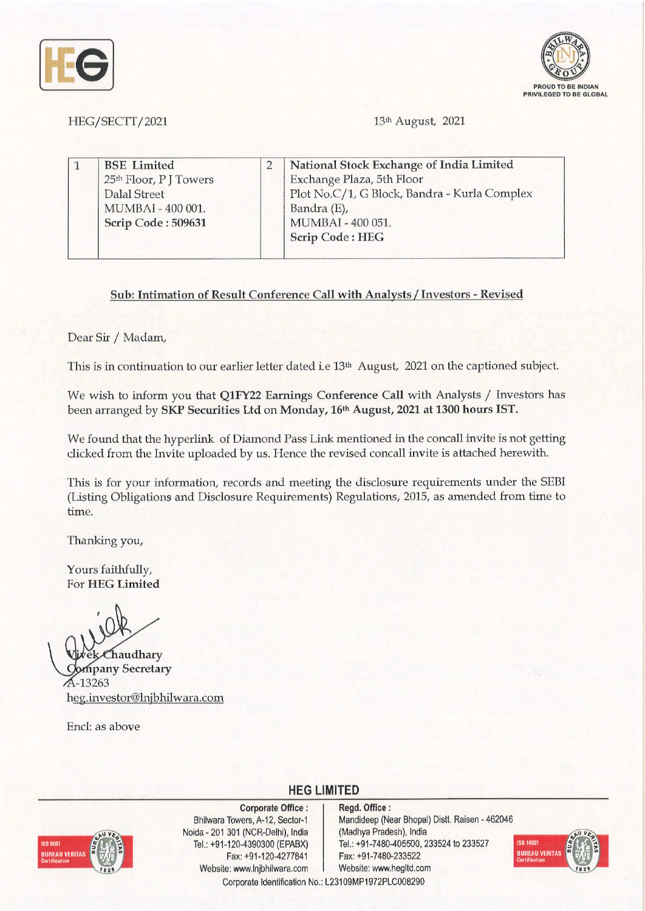



HEG/SECTT/2021

13<sup>th</sup> August, 2021

| <b>BSE</b> Limited |                       | National Stock Exchange of India Limited     |
|--------------------|-----------------------|----------------------------------------------|
|                    |                       | Exchange Plaza, 5th Floor                    |
| Dalal Street       |                       | Plot No.C/1, G Block, Bandra - Kurla Complex |
| MUMBAI - 400 001.  |                       | Bandra (E),                                  |
| Scrip Code: 509631 |                       | MUMBAI - 400 051.                            |
|                    |                       | <b>Scrip Code: HEG</b>                       |
|                    | 25th Floor, PJ Towers |                                              |

## **Sub: Intimation of Result Conference Call with Analysts/ Investors** - **Revised**

Dear Sir / Madam,

This is in continuation to our earlier letter dated i.e 13<sup>th</sup> August, 2021 on the captioned subject.

We wish to inform you that **Q1FY22 Earnings Conference Call** with Analysts/ Investors has been arranged by **SKP Securities Ltd** on **Monday, 16th August, 2021 at 1300 hours IST.** 

We found that the hyperlink of Diamond Pass Link mentioned in the concall invite is not getting clicked from the Invite uploaded by us. Hence the revised concall invite is attached herewith.

This is for your information, records and meeting the disclosure requirements under the SEBI (Listing Obligations and Disclosure Requirements) Regulations, 2015, as amended from time to time.

Thanking you,

Yours faithfully, For **HEG Limited** 

**Chaudhary pany Secretary**  -13263 heg.investor@lnjbhilwara.com

Encl: as above



**Corporate Office** : Bhilwara Towers, A-12, Sector-1 Noida - 201 301 (NCR-Delhi), India Tel.: +91-120-4390300 (EPABX) Fax: +91-120-4277841 Website: www.lnjbhilwara.com | Website: www.hegltd.com

**Regd. Office** : Mandideep (Near Bhopal) Distt. Raisen - 462046 (Madhya Pradesh), India Tel.: +91-7480-405500, 233524 to 233527 Fax: +91-7480-233522



Corporate Identification No.: L23109MP1972PLC008290

**HEG LIMITED**